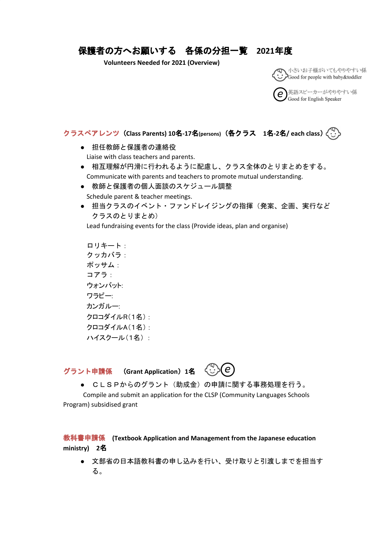## 保護者の方へお願いする 各係の分担一覧 **2021**年度

**Volunteers Needed for 2021 (Overview)**



英語スピーカーがやりやすい係 Good for English Speaker

クラスペアレンツ(**Class Parents) 10**名**-17**名**(persons)**(各クラス **1**名**-2**名**/ each class**)

- 担任教師と保護者の連絡役 Liaise with class teachers and parents.
- 相互理解が円滑に行われるように配慮し、クラス全体のとりまとめをする。 Communicate with parents and teachers to promote mutual understanding.
- 教師と保護者の個人面談のスケジュール調整 Schedule parent & teacher meetings.
- 担当クラスのイベント・ファンドレイジングの指揮(発案、企画、実行など クラスのとりまとめ)

Lead fundraising events for the class (Provide ideas, plan and organise)

ロリキート: クッカバラ: ポッサム: コアラ: ウォンバット: ワラビー: カンガルー: クロコダイルR(1名) : クロコダイルA(1名) : ハイスクール(1名) :

グラント申請係 (**Grant Application**)**1**名



**● CLSPからのグラント(助成金)の申請に関する事務処理を行う。** Compile and submit an application for the CLSP (Community Languages Schools

Program) subsidised grant

教科書申請係 **(Textbook Application and Management from the Japanese education ministry) 2**名

● 文部省の日本語教科書の申し込みを行い、受け取りと引渡しまでを担当す る。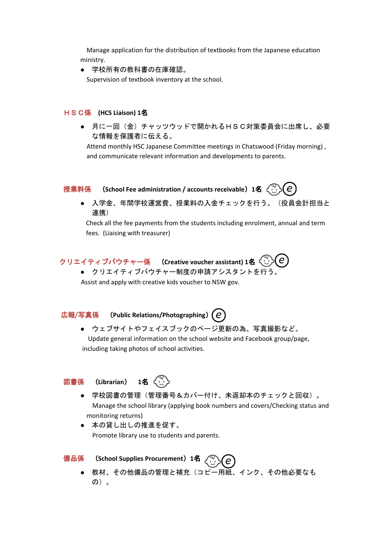Manage application for the distribution of textbooks from the Japanese education ministry.

● 学校所有の教科書の在庫確認。

Supervision of textbook inventory at the school.

### HSC係 **(HCS Liaison) 1**名

**● 月に一回(金)チャッツウッドで開かれるHSC対策委員会に出席し、必要** な情報を保護者に伝える。

Attend monthly HSC Japanese Committee meetings in Chatswood (Friday morning) , and communicate relevant information and developments to parents.



● 入学金、年間学校運営費、授業料の入金チェックを行う。(役員会計担当と 連携)

Check all the fee payments from the students including enrolment, annual and term fees. (Liaising with treasurer)



● クリエイティブバウチャー制度の申請アシスタントを行う。

Assist and apply with creative kids voucher to NSW gov.

## 広報**/**写真係 (**Public Relations/Photographing**)**2**名

● ウェブサイトやフェイスブックのページ更新の為、写真撮影など。 Update general information on the school website and Facebook group/page, including taking photos of school activities.

## 図書係 (**Librarian**) **1**名



- 学校図書の管理(管理番号&カバー付け、未返却本のチェックと回収)。 Manage the school library (applying book numbers and covers/Checking status and monitoring returns)
- 本の貸し出しの推進を促す。 Promote library use to students and parents.

# 備品係 (**School Supplies Procurement**)**1**名

● 教材、その他備品の管理と補充(コピー用紙、インク、その他必要なも の)。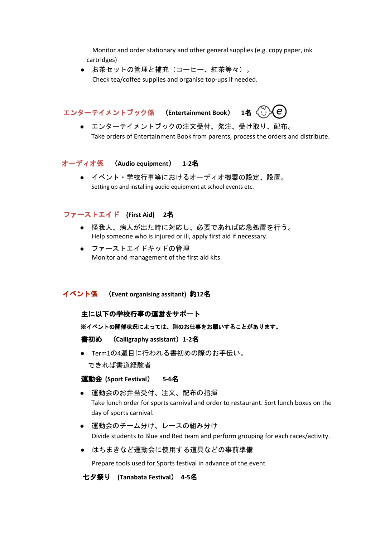Monitor and order stationary and other general supplies (e.g. copy paper, ink cartridges)

● お茶セットの管理と補充 (コーヒー、紅茶等々)。 Check tea/coffee supplies and organise top-ups if needed.

エンターテイメントブック係 (**Entertainment Book**) **1**名

● エンターテイメントブックの注文受付、発注、受け取り、配布。 Take orders of Entertainment Book from parents, process the orders and distribute.

#### オーディオ係 (**Audio equipment**) **1-2**名

● イベント・学校行事等におけるオーディオ機器の設定、設置。 Setting up and installing audio equipment at school events etc.

#### ファーストエイド **(First Aid) 2**名

- 怪我人、病人が出た時に対応し、必要であれば応急処置を行う。 Help someone who is injured or ill, apply first aid if necessary.
- ファーストエイドキッドの管理 Monitor and management of the first aid kits.

#### イベント係 (**Event organising assitant)** 約**12**名

#### 主に以下の学校行事の運営をサポート

※イベントの開催状況によっては、別のお仕事をお願いすることがあります。

書初め (**Calligraphy assistant**)**1-2**名

● Term1の4週目に行われる書初めの際のお手伝い。 できれば書道経験者

#### 運動会 **(Sport Festival**) **5-6**名

- 運動会のお弁当受付、注文、配布の指揮 Take lunch order for sports carnival and order to restaurant. Sort lunch boxes on the day of sports carnival.
- 運動会のチーム分け、レースの組み分け Divide students to Blue and Red team and perform grouping for each races/activity.
- はちまきなど運動会に使用する道具などの事前準備

Prepare tools used for Sports festival in advance of the event

#### 七夕祭り **(Tanabata Festival**) **4-5**名